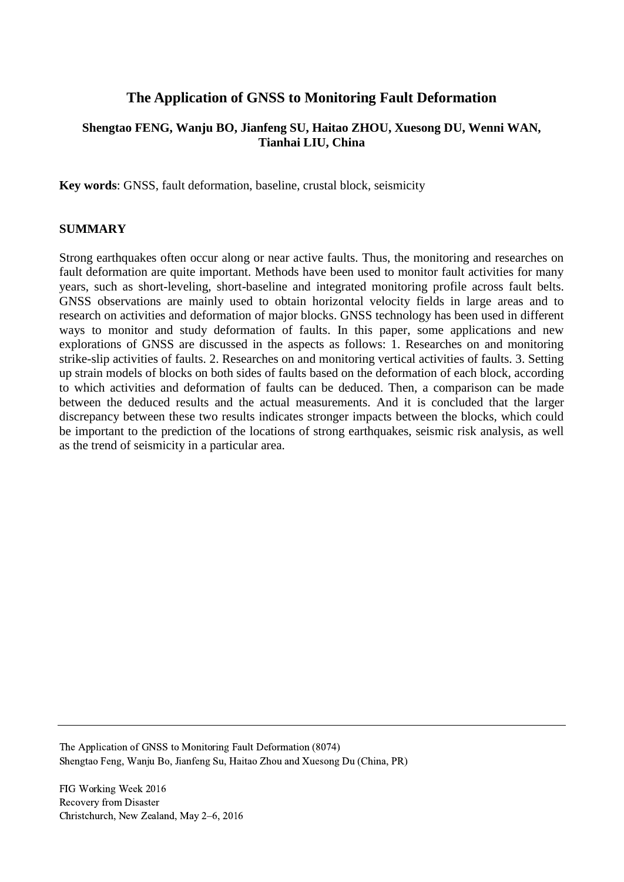# **The Application of GNSS to Monitoring Fault Deformation**

# **Shengtao FENG, Wanju BO, Jianfeng SU, Haitao ZHOU, Xuesong DU, Wenni WAN, Tianhai LIU, China**

**Key words**: GNSS, fault deformation, baseline, crustal block, seismicity

## **SUMMARY**

Strong earthquakes often occur along or near active faults. Thus, the monitoring and researches on fault deformation are quite important. Methods have been used to monitor fault activities for many years, such as short-leveling, short-baseline and integrated monitoring profile across fault belts. GNSS observations are mainly used to obtain horizontal velocity fields in large areas and to research on activities and deformation of major blocks. GNSS technology has been used in different ways to monitor and study deformation of faults. In this paper, some applications and new explorations of GNSS are discussed in the aspects as follows: 1. Researches on and monitoring strike-slip activities of faults. 2. Researches on and monitoring vertical activities of faults. 3. Setting up strain models of blocks on both sides of faults based on the deformation of each block, according to which activities and deformation of faults can be deduced. Then, a comparison can be made between the deduced results and the actual measurements. And it is concluded that the larger discrepancy between these two results indicates stronger impacts between the blocks, which could be important to the prediction of the locations of strong earthquakes, seismic risk analysis, as well as the trend of seismicity in a particular area.

The Application of GNSS to Monitoring Fault Deformation (8074) Shengtao Feng, Wanju Bo, Jianfeng Su, Haitao Zhou and Xuesong Du (China, PR)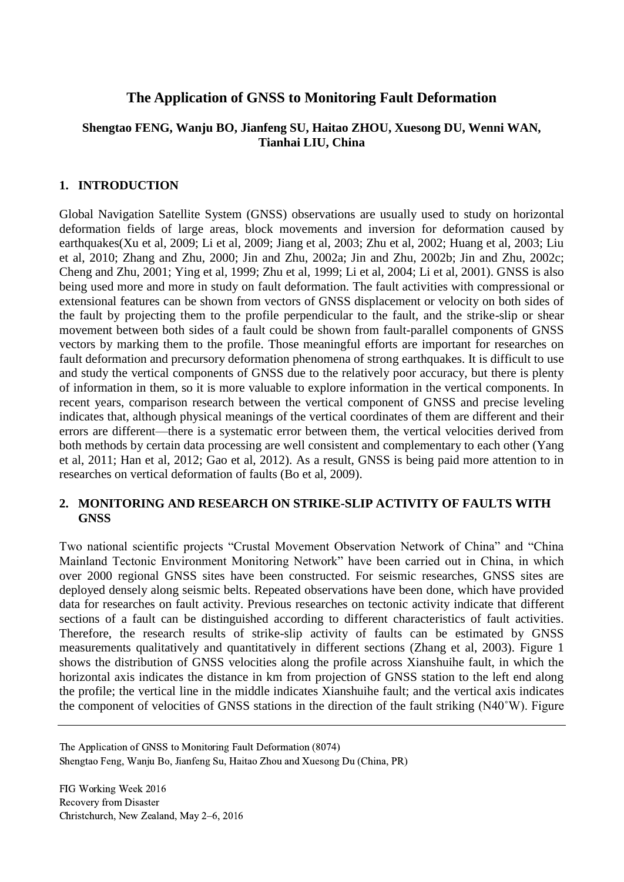# **The Application of GNSS to Monitoring Fault Deformation**

# **Shengtao FENG, Wanju BO, Jianfeng SU, Haitao ZHOU, Xuesong DU, Wenni WAN, Tianhai LIU, China**

# **1. INTRODUCTION**

Global Navigation Satellite System (GNSS) observations are usually used to study on horizontal deformation fields of large areas, block movements and inversion for deformation caused by earthquakes(Xu et al, 2009; Li et al, 2009; Jiang et al, 2003; Zhu et al, 2002; Huang et al, 2003; Liu et al, 2010; Zhang and Zhu, 2000; Jin and Zhu, 2002a; Jin and Zhu, 2002b; Jin and Zhu, 2002c; Cheng and Zhu, 2001; Ying et al, 1999; Zhu et al, 1999; Li et al, 2004; Li et al, 2001). GNSS is also being used more and more in study on fault deformation. The fault activities with compressional or extensional features can be shown from vectors of GNSS displacement or velocity on both sides of the fault by projecting them to the profile perpendicular to the fault, and the strike-slip or shear movement between both sides of a fault could be shown from fault-parallel components of GNSS vectors by marking them to the profile. Those meaningful efforts are important for researches on fault deformation and precursory deformation phenomena of strong earthquakes. It is difficult to use and study the vertical components of GNSS due to the relatively poor accuracy, but there is plenty of information in them, so it is more valuable to explore information in the vertical components. In recent years, comparison research between the vertical component of GNSS and precise leveling indicates that, although physical meanings of the vertical coordinates of them are different and their errors are different—there is a systematic error between them, the vertical velocities derived from both methods by certain data processing are well consistent and complementary to each other (Yang et al, 2011; Han et al, 2012; Gao et al, 2012). As a result, GNSS is being paid more attention to in researches on vertical deformation of faults (Bo et al, 2009).

# **2. MONITORING AND RESEARCH ON STRIKE-SLIP ACTIVITY OF FAULTS WITH GNSS**

Two national scientific projects "Crustal Movement Observation Network of China" and "China Mainland Tectonic Environment Monitoring Network" have been carried out in China, in which over 2000 regional GNSS sites have been constructed. For seismic researches, GNSS sites are deployed densely along seismic belts. Repeated observations have been done, which have provided data for researches on fault activity. Previous researches on tectonic activity indicate that different sections of a fault can be distinguished according to different characteristics of fault activities. Therefore, the research results of strike-slip activity of faults can be estimated by GNSS measurements qualitatively and quantitatively in different sections (Zhang et al, 2003). Figure 1 shows the distribution of GNSS velocities along the profile across Xianshuihe fault, in which the horizontal axis indicates the distance in km from projection of GNSS station to the left end along the profile; the vertical line in the middle indicates Xianshuihe fault; and the vertical axis indicates the component of velocities of GNSS stations in the direction of the fault striking (N40˚W). Figure

The Application of GNSS to Monitoring Fault Deformation (8074) Shengtao Feng, Wanju Bo, Jianfeng Su, Haitao Zhou and Xuesong Du (China, PR)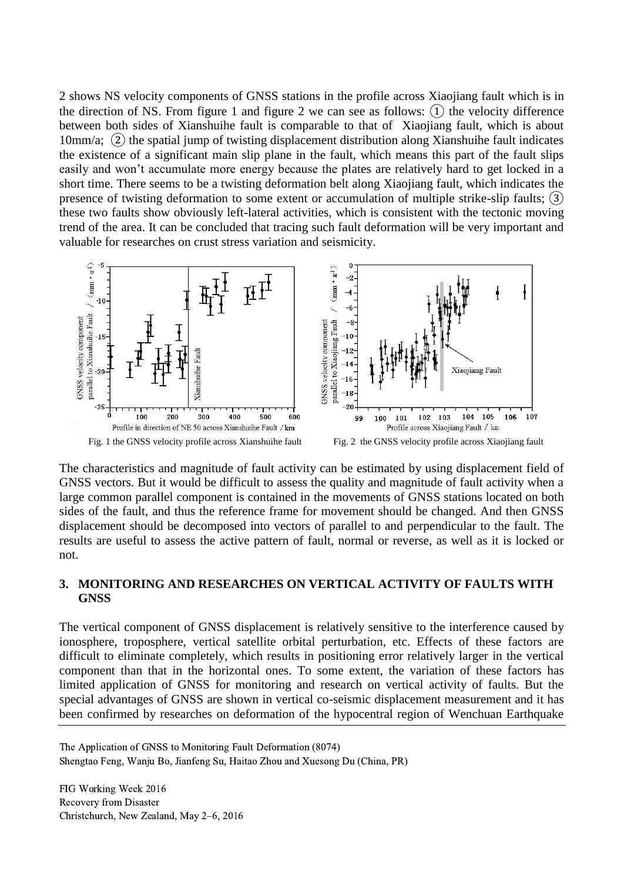2 shows NS velocity components of GNSS stations in the profile across Xiaojiang fault which is in the direction of NS. From figure 1 and figure 2 we can see as follows:  $(1)$  the velocity difference between both sides of Xianshuihe fault is comparable to that of Xiaojiang fault, which is about 10mm/a; ② the spatial jump of twisting displacement distribution along Xianshuihe fault indicates the existence of a significant main slip plane in the fault, which means this part of the fault slips easily and won't accumulate more energy because the plates are relatively hard to get locked in a short time. There seems to be a twisting deformation belt along Xiaojiang fault, which indicates the presence of twisting deformation to some extent or accumulation of multiple strike-slip faults; ③ these two faults show obviously left-lateral activities, which is consistent with the tectonic moving trend of the area. It can be concluded that tracing such fault deformation will be very important and valuable for researches on crust stress variation and seismicity.



The characteristics and magnitude of fault activity can be estimated by using displacement field of GNSS vectors. But it would be difficult to assess the quality and magnitude of fault activity when a large common parallel component is contained in the movements of GNSS stations located on both sides of the fault, and thus the reference frame for movement should be changed. And then GNSS displacement should be decomposed into vectors of parallel to and perpendicular to the fault. The results are useful to assess the active pattern of fault, normal or reverse, as well as it is locked or not.

### **3. MONITORING AND RESEARCHES ON VERTICAL ACTIVITY OF FAULTS WITH GNSS**

The vertical component of GNSS displacement is relatively sensitive to the interference caused by ionosphere, troposphere, vertical satellite orbital perturbation, etc. Effects of these factors are difficult to eliminate completely, which results in positioning error relatively larger in the vertical component than that in the horizontal ones. To some extent, the variation of these factors has limited application of GNSS for monitoring and research on vertical activity of faults. But the special advantages of GNSS are shown in vertical co-seismic displacement measurement and it has been confirmed by researches on deformation of the hypocentral region of Wenchuan Earthquake

The Application of GNSS to Monitoring Fault Deformation (8074) Shengtao Feng, Wanju Bo, Jianfeng Su, Haitao Zhou and Xuesong Du (China, PR)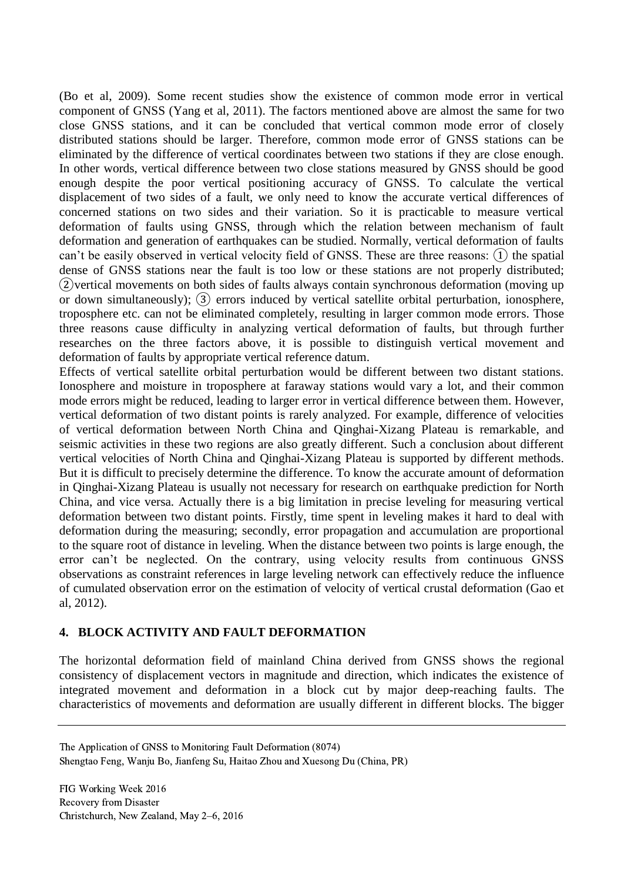(Bo et al, 2009). Some recent studies show the existence of common mode error in vertical component of GNSS (Yang et al, 2011). The factors mentioned above are almost the same for two close GNSS stations, and it can be concluded that vertical common mode error of closely distributed stations should be larger. Therefore, common mode error of GNSS stations can be eliminated by the difference of vertical coordinates between two stations if they are close enough. In other words, vertical difference between two close stations measured by GNSS should be good enough despite the poor vertical positioning accuracy of GNSS. To calculate the vertical displacement of two sides of a fault, we only need to know the accurate vertical differences of concerned stations on two sides and their variation. So it is practicable to measure vertical deformation of faults using GNSS, through which the relation between mechanism of fault deformation and generation of earthquakes can be studied. Normally, vertical deformation of faults can't be easily observed in vertical velocity field of GNSS. These are three reasons: ① the spatial dense of GNSS stations near the fault is too low or these stations are not properly distributed; ②vertical movements on both sides of faults always contain synchronous deformation (moving up or down simultaneously); ③ errors induced by vertical satellite orbital perturbation, ionosphere, troposphere etc. can not be eliminated completely, resulting in larger common mode errors. Those three reasons cause difficulty in analyzing vertical deformation of faults, but through further researches on the three factors above, it is possible to distinguish vertical movement and deformation of faults by appropriate vertical reference datum.

Effects of vertical satellite orbital perturbation would be different between two distant stations. Ionosphere and moisture in troposphere at faraway stations would vary a lot, and their common mode errors might be reduced, leading to larger error in vertical difference between them. However, vertical deformation of two distant points is rarely analyzed. For example, difference of velocities of vertical deformation between North China and Qinghai-Xizang Plateau is remarkable, and seismic activities in these two regions are also greatly different. Such a conclusion about different vertical velocities of North China and Qinghai-Xizang Plateau is supported by different methods. But it is difficult to precisely determine the difference. To know the accurate amount of deformation in Qinghai-Xizang Plateau is usually not necessary for research on earthquake prediction for North China, and vice versa. Actually there is a big limitation in precise leveling for measuring vertical deformation between two distant points. Firstly, time spent in leveling makes it hard to deal with deformation during the measuring; secondly, error propagation and accumulation are proportional to the square root of distance in leveling. When the distance between two points is large enough, the error can't be neglected. On the contrary, using velocity results from continuous GNSS observations as constraint references in large leveling network can effectively reduce the influence of cumulated observation error on the estimation of velocity of vertical crustal deformation (Gao et al, 2012).

# **4. BLOCK ACTIVITY AND FAULT DEFORMATION**

The horizontal deformation field of mainland China derived from GNSS shows the regional consistency of displacement vectors in magnitude and direction, which indicates the existence of integrated movement and deformation in a block cut by major deep-reaching faults. The characteristics of movements and deformation are usually different in different blocks. The bigger

The Application of GNSS to Monitoring Fault Deformation (8074) Shengtao Feng, Wanju Bo, Jianfeng Su, Haitao Zhou and Xuesong Du (China, PR)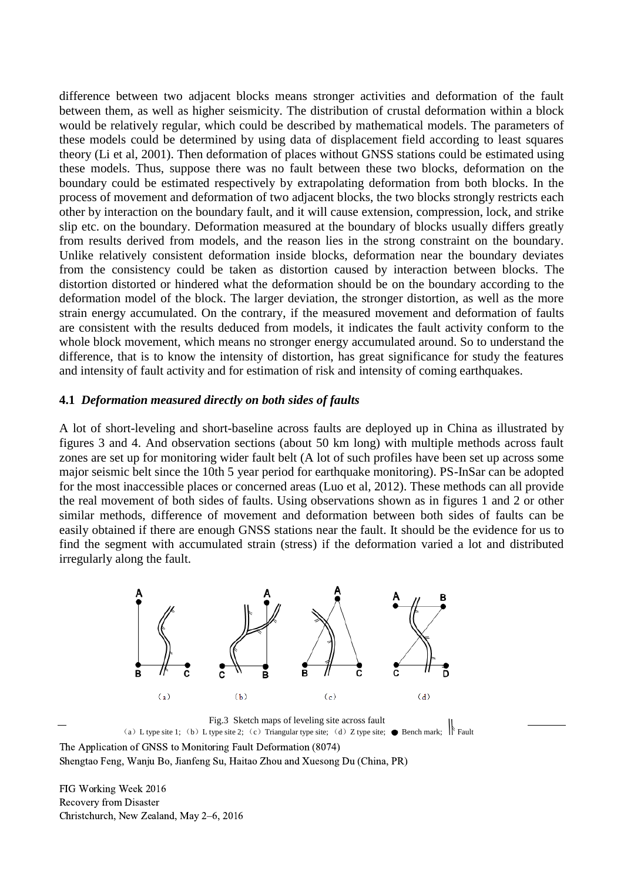difference between two adjacent blocks means stronger activities and deformation of the fault between them, as well as higher seismicity. The distribution of crustal deformation within a block would be relatively regular, which could be described by mathematical models. The parameters of these models could be determined by using data of displacement field according to least squares theory (Li et al, 2001). Then deformation of places without GNSS stations could be estimated using these models. Thus, suppose there was no fault between these two blocks, deformation on the boundary could be estimated respectively by extrapolating deformation from both blocks. In the process of movement and deformation of two adjacent blocks, the two blocks strongly restricts each other by interaction on the boundary fault, and it will cause extension, compression, lock, and strike slip etc. on the boundary. Deformation measured at the boundary of blocks usually differs greatly from results derived from models, and the reason lies in the strong constraint on the boundary. Unlike relatively consistent deformation inside blocks, deformation near the boundary deviates from the consistency could be taken as distortion caused by interaction between blocks. The distortion distorted or hindered what the deformation should be on the boundary according to the deformation model of the block. The larger deviation, the stronger distortion, as well as the more strain energy accumulated. On the contrary, if the measured movement and deformation of faults are consistent with the results deduced from models, it indicates the fault activity conform to the whole block movement, which means no stronger energy accumulated around. So to understand the difference, that is to know the intensity of distortion, has great significance for study the features and intensity of fault activity and for estimation of risk and intensity of coming earthquakes.

#### **4.1** *Deformation measured directly on both sides of faults*

A lot of short-leveling and short-baseline across faults are deployed up in China as illustrated by figures 3 and 4. And observation sections (about 50 km long) with multiple methods across fault zones are set up for monitoring wider fault belt (A lot of such profiles have been set up across some major seismic belt since the 10th 5 year period for earthquake monitoring). PS-InSar can be adopted for the most inaccessible places or concerned areas (Luo et al, 2012). These methods can all provide the real movement of both sides of faults. Using observations shown as in figures 1 and 2 or other similar methods, difference of movement and deformation between both sides of faults can be easily obtained if there are enough GNSS stations near the fault. It should be the evidence for us to find the segment with accumulated strain (stress) if the deformation varied a lot and distributed irregularly along the fault.



Fig.3 Sketch maps of leveling site across fault (a) L type site 1; (b) L type site 2; (c) Triangular type site; (d) Z type site;  $\bullet$  Bench mark;  $\|\cdot\|$  Fault The Application of GNSS to Monitoring Fault Deformation (8074)

Shengtao Feng, Wanju Bo, Jianfeng Su, Haitao Zhou and Xuesong Du (China, PR)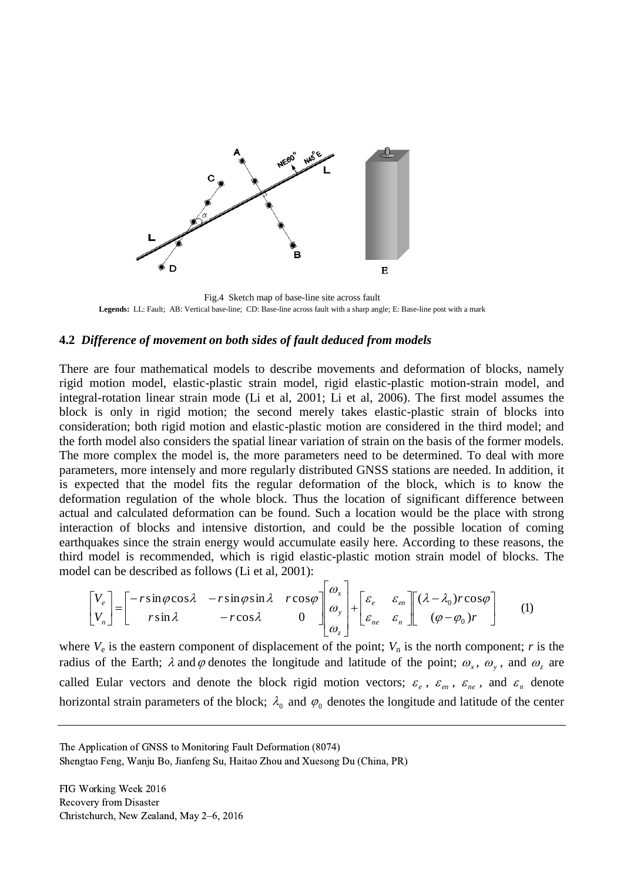

Fig.4 Sketch map of base-line site across fault **Legends:** LL: Fault; AB: Vertical base-line; CD: Base-line across fault with a sharp angle; E: Base-line post with a mark

#### **4.2** *Difference of movement on both sides of fault deduced from models*

There are four mathematical models to describe movements and deformation of blocks, namely rigid motion model, elastic-plastic strain model, rigid elastic-plastic motion-strain model, and integral-rotation linear strain mode (Li et al, 2001; Li et al, 2006). The first model assumes the block is only in rigid motion; the second merely takes elastic-plastic strain of blocks into consideration; both rigid motion and elastic-plastic motion are considered in the third model; and the forth model also considers the spatial linear variation of strain on the basis of the former models. The more complex the model is, the more parameters need to be determined. To deal with more parameters, more intensely and more regularly distributed GNSS stations are needed. In addition, it is expected that the model fits the regular deformation of the block, which is to know the deformation regulation of the whole block. Thus the location of significant difference between actual and calculated deformation can be found. Such a location would be the place with strong interaction of blocks and intensive distortion, and could be the possible location of coming earthquakes since the strain energy would accumulate easily here. According to these reasons, the third model is recommended, which is rigid elastic-plastic motion strain model of blocks. The model can be described as follows (Li et al, 2001):

$$
\begin{bmatrix} V_e \\ V_n \end{bmatrix} = \begin{bmatrix} -r\sin\varphi\cos\lambda & -r\sin\varphi\sin\lambda & r\cos\varphi \\ r\sin\lambda & -r\cos\lambda & 0 \end{bmatrix} \begin{bmatrix} \omega_x \\ \omega_y \\ \omega_z \end{bmatrix} + \begin{bmatrix} \varepsilon_e & \varepsilon_{en} \\ \varepsilon_{ne} & \varepsilon_n \end{bmatrix} \begin{bmatrix} (\lambda - \lambda_0)r\cos\varphi \\ (\varphi - \varphi_0)r \end{bmatrix}
$$
 (1)

where  $V_e$  is the eastern component of displacement of the point;  $V_n$  is the north component; *r* is the radius of the Earth;  $\lambda$  and  $\varphi$  denotes the longitude and latitude of the point;  $\omega_x$ ,  $\omega_y$ , and  $\omega_z$  are called Eular vectors and denote the block rigid motion vectors;  $\varepsilon_e$ ,  $\varepsilon_{en}$ ,  $\varepsilon_{ne}$ , and  $\varepsilon_n$  denote horizontal strain parameters of the block;  $\lambda_0$  and  $\varphi_0$  denotes the longitude and latitude of the center

The Application of GNSS to Monitoring Fault Deformation (8074)

Shengtao Feng, Wanju Bo, Jianfeng Su, Haitao Zhou and Xuesong Du (China, PR)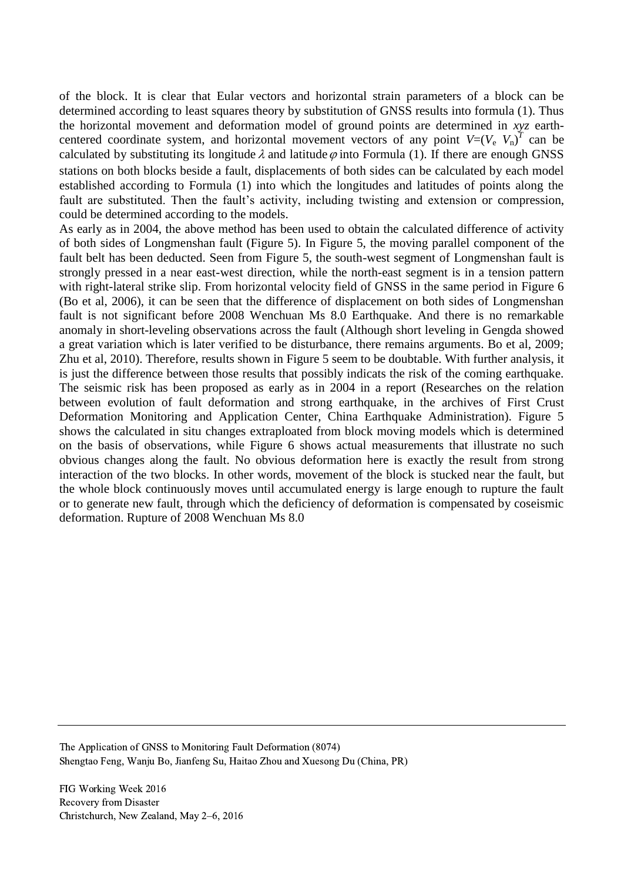of the block. It is clear that Eular vectors and horizontal strain parameters of a block can be determined according to least squares theory by substitution of GNSS results into formula (1). Thus the horizontal movement and deformation model of ground points are determined in *xyz* earthcentered coordinate system, and horizontal movement vectors of any point  $V=(V_e V_n)^T$  can be calculated by substituting its longitude  $\lambda$  and latitude  $\varphi$  into Formula (1). If there are enough GNSS stations on both blocks beside a fault, displacements of both sides can be calculated by each model established according to Formula (1) into which the longitudes and latitudes of points along the fault are substituted. Then the fault's activity, including twisting and extension or compression, could be determined according to the models.

As early as in 2004, the above method has been used to obtain the calculated difference of activity of both sides of Longmenshan fault (Figure 5). In Figure 5, the moving parallel component of the fault belt has been deducted. Seen from Figure 5, the south-west segment of Longmenshan fault is strongly pressed in a near east-west direction, while the north-east segment is in a tension pattern with right-lateral strike slip. From horizontal velocity field of GNSS in the same period in Figure 6 (Bo et al, 2006), it can be seen that the difference of displacement on both sides of Longmenshan fault is not significant before 2008 Wenchuan Ms 8.0 Earthquake. And there is no remarkable anomaly in short-leveling observations across the fault (Although short leveling in Gengda showed a great variation which is later verified to be disturbance, there remains arguments. Bo et al, 2009; Zhu et al, 2010). Therefore, results shown in Figure 5 seem to be doubtable. With further analysis, it is just the difference between those results that possibly indicats the risk of the coming earthquake. The seismic risk has been proposed as early as in 2004 in a report (Researches on the relation between evolution of fault deformation and strong earthquake, in the archives of First Crust Deformation Monitoring and Application Center, China Earthquake Administration). Figure 5 shows the calculated in situ changes extraploated from block moving models which is determined on the basis of observations, while Figure 6 shows actual measurements that illustrate no such obvious changes along the fault. No obvious deformation here is exactly the result from strong interaction of the two blocks. In other words, movement of the block is stucked near the fault, but the whole block continuously moves until accumulated energy is large enough to rupture the fault or to generate new fault, through which the deficiency of deformation is compensated by coseismic deformation. Rupture of 2008 Wenchuan Ms 8.0

The Application of GNSS to Monitoring Fault Deformation (8074) Shengtao Feng, Wanju Bo, Jianfeng Su, Haitao Zhou and Xuesong Du (China, PR)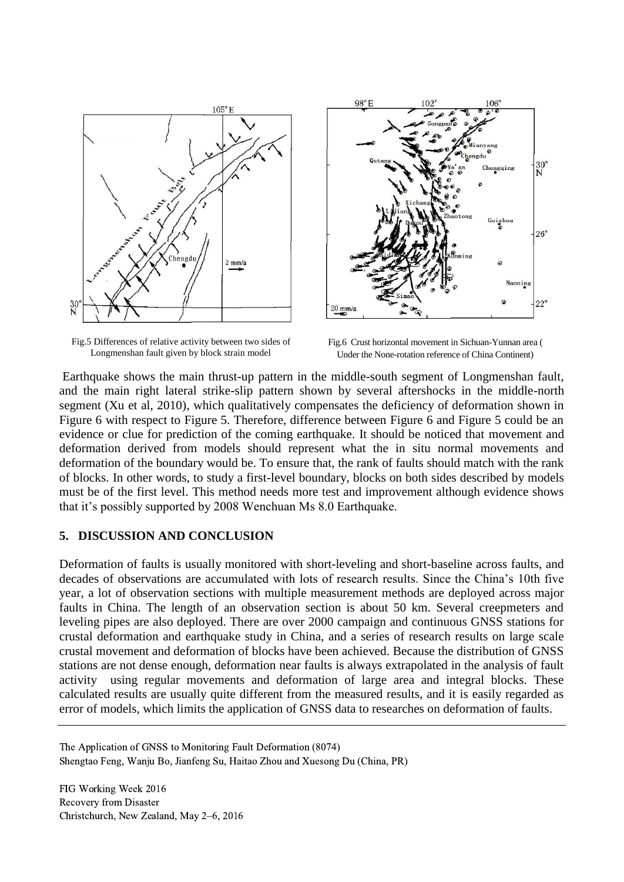

Fig.5 Differences of relative activity between two sides of Longmenshan fault given by block strain model



Fig.6 Crust horizontal movement in Sichuan-Yunnan area ( Under the None-rotation reference of China Continent)

Earthquake shows the main thrust-up pattern in the middle-south segment of Longmenshan fault, and the main right lateral strike-slip pattern shown by several aftershocks in the middle-north segment (Xu et al, 2010), which qualitatively compensates the deficiency of deformation shown in Figure 6 with respect to Figure 5. Therefore, difference between Figure 6 and Figure 5 could be an evidence or clue for prediction of the coming earthquake. It should be noticed that movement and deformation derived from models should represent what the in situ normal movements and deformation of the boundary would be. To ensure that, the rank of faults should match with the rank of blocks. In other words, to study a first-level boundary, blocks on both sides described by models must be of the first level. This method needs more test and improvement although evidence shows that it's possibly supported by 2008 Wenchuan Ms 8.0 Earthquake.

### **5. DISCUSSION AND CONCLUSION**

Deformation of faults is usually monitored with short-leveling and short-baseline across faults, and decades of observations are accumulated with lots of research results. Since the China's 10th five year, a lot of observation sections with multiple measurement methods are deployed across major faults in China. The length of an observation section is about 50 km. Several creepmeters and leveling pipes are also deployed. There are over 2000 campaign and continuous GNSS stations for crustal deformation and earthquake study in China, and a series of research results on large scale crustal movement and deformation of blocks have been achieved. Because the distribution of GNSS stations are not dense enough, deformation near faults is always extrapolated in the analysis of fault activity using regular movements and deformation of large area and integral blocks. These calculated results are usually quite different from the measured results, and it is easily regarded as error of models, which limits the application of GNSS data to researches on deformation of faults.

The Application of GNSS to Monitoring Fault Deformation (8074) Shengtao Feng, Wanju Bo, Jianfeng Su, Haitao Zhou and Xuesong Du (China, PR)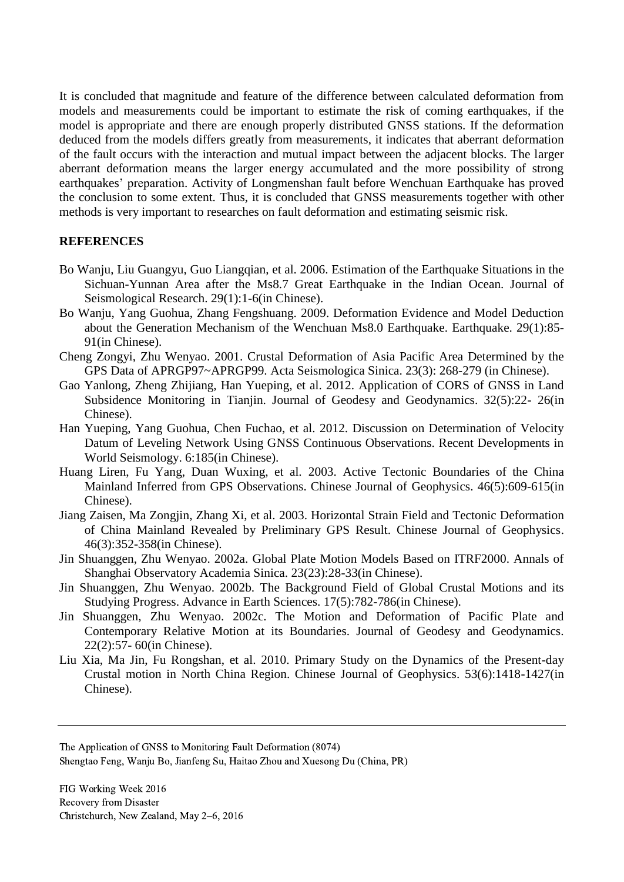It is concluded that magnitude and feature of the difference between calculated deformation from models and measurements could be important to estimate the risk of coming earthquakes, if the model is appropriate and there are enough properly distributed GNSS stations. If the deformation deduced from the models differs greatly from measurements, it indicates that aberrant deformation of the fault occurs with the interaction and mutual impact between the adjacent blocks. The larger aberrant deformation means the larger energy accumulated and the more possibility of strong earthquakes' preparation. Activity of Longmenshan fault before Wenchuan Earthquake has proved the conclusion to some extent. Thus, it is concluded that GNSS measurements together with other methods is very important to researches on fault deformation and estimating seismic risk.

### **REFERENCES**

- Bo Wanju, Liu Guangyu, Guo Liangqian, et al. 2006. Estimation of the Earthquake Situations in the Sichuan-Yunnan Area after the Ms8.7 Great Earthquake in the Indian Ocean. Journal of Seismological Research. 29(1):1-6(in Chinese).
- Bo Wanju, Yang Guohua, Zhang Fengshuang. 2009. Deformation Evidence and Model Deduction about the Generation Mechanism of the Wenchuan Ms8.0 Earthquake. Earthquake. 29(1):85- 91(in Chinese).
- Cheng Zongyi, Zhu Wenyao. 2001. Crustal Deformation of Asia Pacific Area Determined by the GPS Data of APRGP97~APRGP99. Acta Seismologica Sinica. 23(3): 268-279 (in Chinese).
- Gao Yanlong, Zheng Zhijiang, Han Yueping, et al. 2012. Application of CORS of GNSS in Land Subsidence Monitoring in Tianjin. Journal of Geodesy and Geodynamics. 32(5):22- 26(in Chinese).
- Han Yueping, Yang Guohua, Chen Fuchao, et al. 2012. Discussion on Determination of Velocity Datum of Leveling Network Using GNSS Continuous Observations. Recent Developments in World Seismology. 6:185(in Chinese).
- Huang Liren, Fu Yang, Duan Wuxing, et al. 2003. Active Tectonic Boundaries of the China Mainland Inferred from GPS Observations. Chinese Journal of Geophysics. 46(5):609-615(in Chinese).
- Jiang Zaisen, Ma Zongjin, Zhang Xi, et al. 2003. Horizontal Strain Field and Tectonic Deformation of China Mainland Revealed by Preliminary GPS Result. Chinese Journal of Geophysics. 46(3):352-358(in Chinese).
- Jin Shuanggen, Zhu Wenyao. 2002a. Global Plate Motion Models Based on ITRF2000. Annals of Shanghai Observatory Academia Sinica. 23(23):28-33(in Chinese).
- Jin Shuanggen, Zhu Wenyao. 2002b. The Background Field of Global Crustal Motions and its Studying Progress. Advance in Earth Sciences. 17(5):782-786(in Chinese).
- Jin Shuanggen, Zhu Wenyao. 2002c. The Motion and Deformation of Pacific Plate and Contemporary Relative Motion at its Boundaries. Journal of Geodesy and Geodynamics. 22(2):57- 60(in Chinese).
- Liu Xia, Ma Jin, Fu Rongshan, et al. 2010. Primary Study on the Dynamics of the Present-day Crustal motion in North China Region. Chinese Journal of Geophysics. 53(6):1418-1427(in Chinese).

The Application of GNSS to Monitoring Fault Deformation (8074) Shengtao Feng, Wanju Bo, Jianfeng Su, Haitao Zhou and Xuesong Du (China, PR)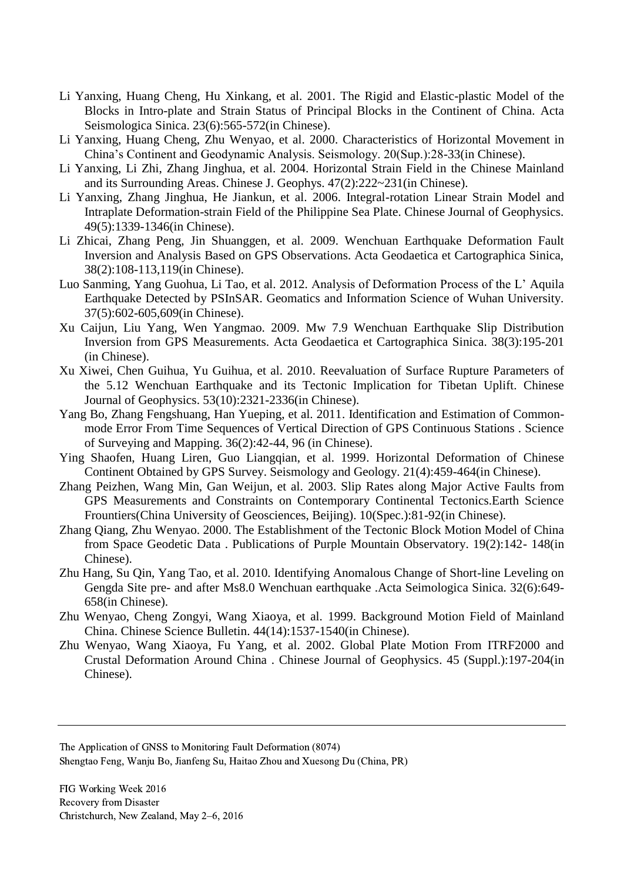- Li Yanxing, Huang Cheng, Hu Xinkang, et al. 2001. The Rigid and Elastic-plastic Model of the Blocks in Intro-plate and Strain Status of Principal Blocks in the Continent of China. Acta Seismologica Sinica. 23(6):565-572(in Chinese).
- Li Yanxing, Huang Cheng, Zhu Wenyao, et al. 2000. Characteristics of Horizontal Movement in China's Continent and Geodynamic Analysis. Seismology. 20(Sup.):28-33(in Chinese).
- Li Yanxing, Li Zhi, Zhang Jinghua, et al. 2004. Horizontal Strain Field in the Chinese Mainland and its Surrounding Areas. Chinese J. Geophys. 47(2):222~231(in Chinese).
- Li Yanxing, Zhang Jinghua, He Jiankun, et al. 2006. Integral-rotation Linear Strain Model and Intraplate Deformation-strain Field of the Philippine Sea Plate. Chinese Journal of Geophysics. 49(5):1339-1346(in Chinese).
- Li Zhicai, Zhang Peng, Jin Shuanggen, et al. 2009. Wenchuan Earthquake Deformation Fault Inversion and Analysis Based on GPS Observations. Acta Geodaetica et Cartographica Sinica, 38(2):108-113,119(in Chinese).
- Luo Sanming, Yang Guohua, Li Tao, et al. 2012. Analysis of Deformation Process of the L' Aquila Earthquake Detected by PSInSAR. Geomatics and Information Science of Wuhan University. 37(5):602-605,609(in Chinese).
- Xu Caijun, Liu Yang, Wen Yangmao. 2009. Mw 7.9 Wenchuan Earthquake Slip Distribution Inversion from GPS Measurements. Acta Geodaetica et Cartographica Sinica. 38(3):195-201 (in Chinese).
- Xu Xiwei, Chen Guihua, Yu Guihua, et al. 2010. Reevaluation of Surface Rupture Parameters of the 5.12 Wenchuan Earthquake and its Tectonic Implication for Tibetan Uplift. Chinese Journal of Geophysics. 53(10):2321-2336(in Chinese).
- Yang Bo, Zhang Fengshuang, Han Yueping, et al. 2011. Identification and Estimation of Commonmode Error From Time Sequences of Vertical Direction of GPS Continuous Stations . Science of Surveying and Mapping. 36(2):42-44, 96 (in Chinese).
- Ying Shaofen, Huang Liren, Guo Liangqian, et al. 1999. Horizontal Deformation of Chinese Continent Obtained by GPS Survey. Seismology and Geology. 21(4):459-464(in Chinese).
- Zhang Peizhen, Wang Min, Gan Weijun, et al. 2003. Slip Rates along Major Active Faults from GPS Measurements and Constraints on Contemporary Continental Tectonics.Earth Science Frountiers(China University of Geosciences, Beijing). 10(Spec.):81-92(in Chinese).
- Zhang Qiang, Zhu Wenyao. 2000. The Establishment of the Tectonic Block Motion Model of China from Space Geodetic Data . Publications of Purple Mountain Observatory. 19(2):142- 148(in Chinese).
- Zhu Hang, Su Qin, Yang Tao, et al. 2010. Identifying Anomalous Change of Short-line Leveling on Gengda Site pre- and after Ms8.0 Wenchuan earthquake .Acta Seimologica Sinica. 32(6):649- 658(in Chinese).
- Zhu Wenyao, Cheng Zongyi, Wang Xiaoya, et al. 1999. Background Motion Field of Mainland China. Chinese Science Bulletin. 44(14):1537-1540(in Chinese).
- Zhu Wenyao, Wang Xiaoya, Fu Yang, et al. 2002. Global Plate Motion From ITRF2000 and Crustal Deformation Around China . Chinese Journal of Geophysics. 45 (Suppl.):197-204(in Chinese).

The Application of GNSS to Monitoring Fault Deformation (8074) Shengtao Feng, Wanju Bo, Jianfeng Su, Haitao Zhou and Xuesong Du (China, PR)